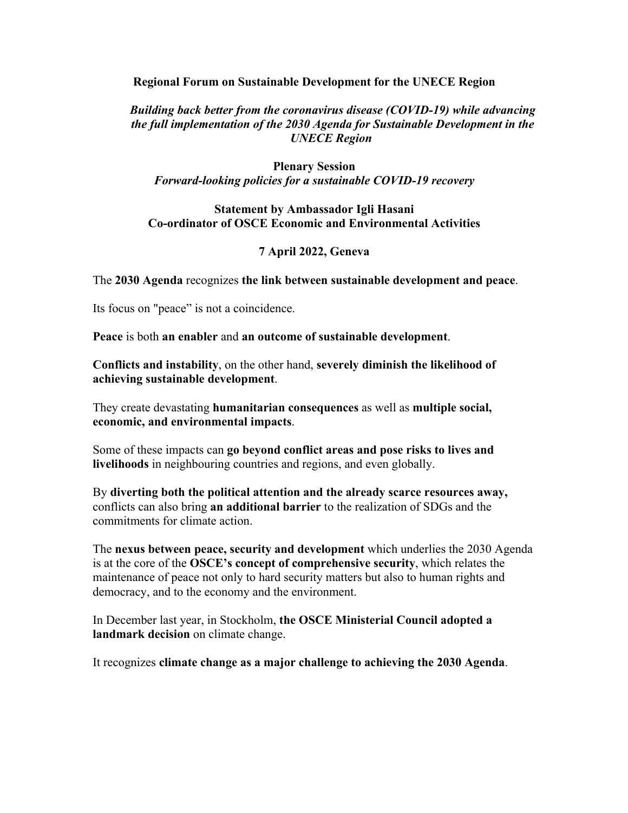### **Regional Forum on Sustainable Development for the UNECE Region**

## *Building back better from the coronavirus disease (COVID-19) while advancing the full implementation of the 2030 Agenda for Sustainable Development in the UNECE Region*

## **Plenary Session** *Forward-looking policies for a sustainable COVID-19 recovery*

### **Statement by Ambassador Igli Hasani Co-ordinator of OSCE Economic and Environmental Activities**

# **7 April 2022, Geneva**

The **2030 Agenda** recognizes **the link between sustainable development and peace**.

Its focus on "peace" is not a coincidence.

**Peace** is both **an enabler** and **an outcome of sustainable development**.

**Conflicts and instability**, on the other hand, **severely diminish the likelihood of achieving sustainable development**.

They create devastating **humanitarian consequences** as well as **multiple social, economic, and environmental impacts**.

Some of these impacts can **go beyond conflict areas and pose risks to lives and livelihoods** in neighbouring countries and regions, and even globally.

By **diverting both the political attention and the already scarce resources away,**  conflicts can also bring **an additional barrier** to the realization of SDGs and the commitments for climate action.

The **nexus between peace, security and development** which underlies the 2030 Agenda is at the core of the **OSCE's concept of comprehensive security**, which relates the maintenance of peace not only to hard security matters but also to human rights and democracy, and to the economy and the environment.

In December last year, in Stockholm, **the OSCE Ministerial Council adopted a landmark decision** on climate change.

It recognizes **climate change as a major challenge to achieving the 2030 Agenda**.